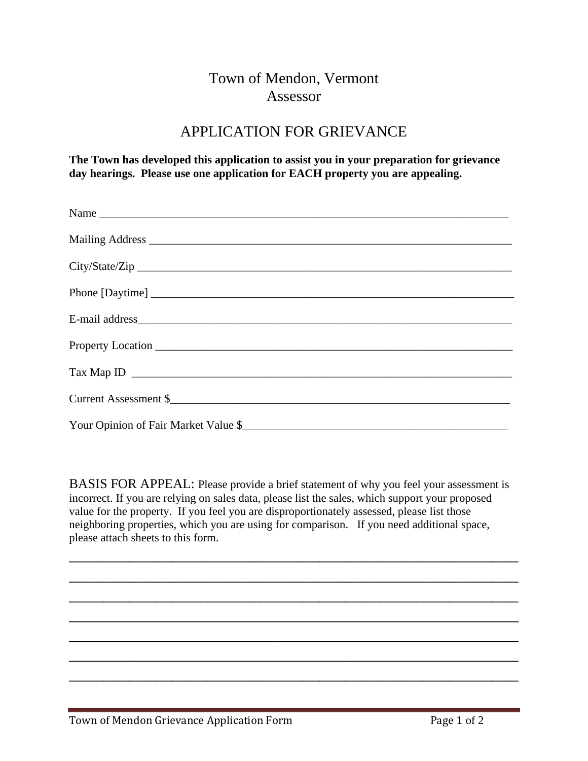## Town of Mendon, Vermont Assessor

## APPLICATION FOR GRIEVANCE

**The Town has developed this application to assist you in your preparation for grievance day hearings. Please use one application for EACH property you are appealing.** 

| Name |
|------|
|      |
|      |
|      |
|      |
|      |
|      |
|      |
|      |

BASIS FOR APPEAL: Please provide a brief statement of why you feel your assessment is incorrect. If you are relying on sales data, please list the sales, which support your proposed value for the property. If you feel you are disproportionately assessed, please list those neighboring properties, which you are using for comparison. If you need additional space, please attach sheets to this form.

\_\_\_\_\_\_\_\_\_\_\_\_\_\_\_\_\_\_\_\_\_\_\_\_\_\_\_\_\_\_\_\_\_\_\_\_\_\_\_\_\_\_\_\_\_\_\_\_\_\_\_\_

\_\_\_\_\_\_\_\_\_\_\_\_\_\_\_\_\_\_\_\_\_\_\_\_\_\_\_\_\_\_\_\_\_\_\_\_\_\_\_\_\_\_\_\_\_\_\_\_\_\_\_\_

\_\_\_\_\_\_\_\_\_\_\_\_\_\_\_\_\_\_\_\_\_\_\_\_\_\_\_\_\_\_\_\_\_\_\_\_\_\_\_\_\_\_\_\_\_\_\_\_\_\_\_\_

\_\_\_\_\_\_\_\_\_\_\_\_\_\_\_\_\_\_\_\_\_\_\_\_\_\_\_\_\_\_\_\_\_\_\_\_\_\_\_\_\_\_\_\_\_\_\_\_\_\_\_\_

\_\_\_\_\_\_\_\_\_\_\_\_\_\_\_\_\_\_\_\_\_\_\_\_\_\_\_\_\_\_\_\_\_\_\_\_\_\_\_\_\_\_\_\_\_\_\_\_\_\_\_\_

\_\_\_\_\_\_\_\_\_\_\_\_\_\_\_\_\_\_\_\_\_\_\_\_\_\_\_\_\_\_\_\_\_\_\_\_\_\_\_\_\_\_\_\_\_\_\_\_\_\_\_\_

\_\_\_\_\_\_\_\_\_\_\_\_\_\_\_\_\_\_\_\_\_\_\_\_\_\_\_\_\_\_\_\_\_\_\_\_\_\_\_\_\_\_\_\_\_\_\_\_\_\_\_\_

Town of Mendon Grievance Application Form Page 1 of 2